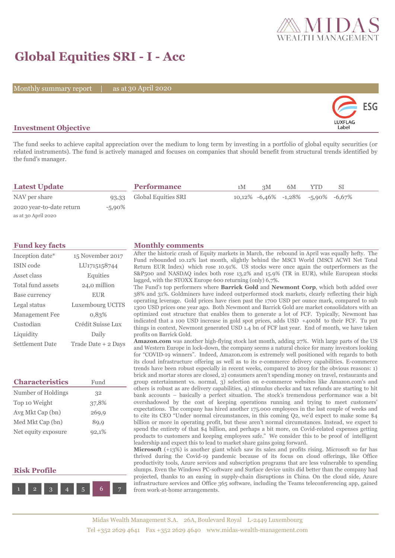

# **Global Equities SRI - I - Acc**

Monthly summary report | as at 30 April 2020



## **Investment Objective**

The fund seeks to achieve capital appreciation over the medium to long term by investing in a portfolio of global equity securities (or related instruments). The fund is actively managed and focuses on companies that should benefit from structural trends identified by the fund's manager.

| <b>Latest Update</b>     |        | <b>Performance</b>        | 1 M | 3M | 6M | YTD.                                  | SL |  |
|--------------------------|--------|---------------------------|-----|----|----|---------------------------------------|----|--|
| NAV per share            |        | 93,33 Global Equities SRI |     |    |    | $10,12\%$ -6,46% -1,28% -5,90% -6,67% |    |  |
| 2020 year-to-date return | -5,90% |                           |     |    |    |                                       |    |  |
| as at 30 April 2020      |        |                           |     |    |    |                                       |    |  |

| Inception date*   | 15 November 2017    |
|-------------------|---------------------|
| ISIN code         | LU1715158744        |
| Asset class       | Equities            |
| Total fund assets | 24,0 million        |
| Base currency     | <b>EUR</b>          |
| Legal status      | Luxembourg UCITS    |
| Management Fee    | 0.83%               |
| Custodian         | Crédit Suisse Lux   |
| Liquidity         | Daily               |
| Settlement Date   | Trade Date + 2 Days |

| <b>Characteristics</b> | Fund  |
|------------------------|-------|
| Number of Holdings     | 32    |
| Top 10 Weight          | 37,8% |
| Avg Mkt Cap (bn)       | 269,9 |
| Med Mkt Cap (bn)       | 89,9  |
| Net equity exposure    | 92,1% |

# **Risk Profile**



### **Fund key facts Monthly comments**

After the historic crash of Equity markets in March, the rebound in April was equally hefty. The Fund rebounded 10.12% last month, slightly behind the MSCI World (MSCI ACWI Net Total Return EUR Index) which rose 10.91%. US stocks were once again the outperformers as the S&P500 and NASDAQ index both rose 13,2% and 15.9% (TR in EUR), while European stocks lagged, with the STOXX Europe 600 returning (only) 6,7%.

The Fund's top performers where **Barrick Gold** and **Newmont Corp**, which both added over 38% and 31%. Goldminers have indeed outperformed stock markets, clearly reflecting their high operating leverage. Gold prices have risen past the 1700 USD per ounce mark, compared to sub 1300 USD prices one year ago. Both Newmont and Barrick Gold are market consolidators with an optimized cost structure that enables them to generate a lot of FCF. Typically, Newmont has indicated that a 100 USD increase in gold spot prices, adds USD +400M to their FCF. Tu put things in context, Newmont generated USD 1.4 bn of FCF last year. End of month, we have taken profits on Barrick Gold.

**Amazon.com** was another high-flying stock last month, adding 27%. With large parts of the US and Western Europe in lock-down, the company seems a natural choice for many investors looking for "COVID-19 winners". Indeed, Amazon.com is extremely well positioned with regards to both its cloud infrastructure offering as well as to its e-commerce delivery capabilities. E-commerce trends have been robust especially in recent weeks, compared to 2019 for the obvious reasons: 1) brick and mortar stores are closed, 2) consumers aren't spending money on travel, restaurants and group entertainment vs. normal, 3) selection on e-commerce websites like Amazon.com's and others is robust as are delivery capabilities, 4) stimulus checks and tax refunds are starting to hit bank accounts – basically a perfect situation. The stock's tremendous performance was a bit overshadowed by the cost of keeping operations running and trying to meet customers' expectations. The company has hired another 175.000 employees in the last couple of weeks and to cite its CEO "Under normal circumstances, in this coming Q2, we'd expect to make some \$4 billion or more in operating profit, but these aren't normal circumstances. Instead, we expect to spend the entirety of that \$4 billion, and perhaps a bit more, on Covid-related expenses getting products to customers and keeping employees safe." We consider this to be proof of intelligent leadership and expect this to lead to market share gains going forward.

**Microsoft** (+13%) is another giant which saw its sales and profits rising. Microsoft so far has thrived during the Covid-19 pandemic because of its focus on cloud offerings, like Office productivity tools, Azure services and subscription programs that are less vulnerable to spending slumps. Even the Windows PC-software and Surface device units did better than the company had projected, thanks to an easing in supply-chain disruptions in China. On the cloud side, Azure infrastructure services and Office 365 software, including the Teams teleconferencing app, gained from work-at-home arrangements.